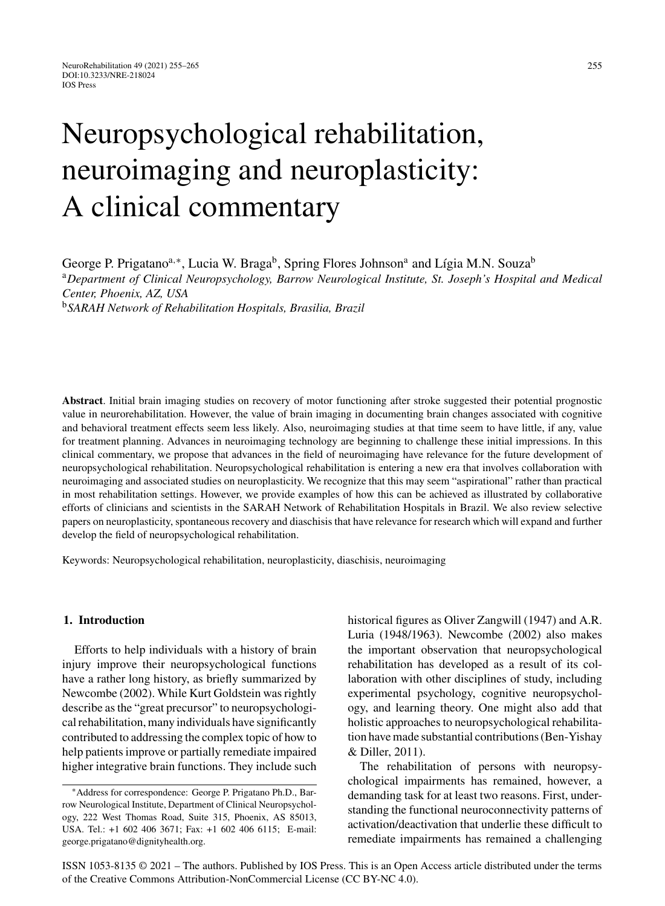# Neuropsychological rehabilitation, neuroimaging and neuroplasticity: A clinical commentary

George P. Prigatano<sup>a,∗</sup>, Lucia W. Braga<sup>b</sup>, Spring Flores Johnson<sup>a</sup> and Lígia M.N. Souza<sup>b</sup> <sup>a</sup>*Department of Clinical Neuropsychology, Barrow Neurological Institute, St. Joseph's Hospital and Medical Center, Phoenix, AZ, USA* <sup>b</sup>*SARAH Network of Rehabilitation Hospitals, Brasilia, Brazil*

**Abstract**. Initial brain imaging studies on recovery of motor functioning after stroke suggested their potential prognostic value in neurorehabilitation. However, the value of brain imaging in documenting brain changes associated with cognitive and behavioral treatment effects seem less likely. Also, neuroimaging studies at that time seem to have little, if any, value for treatment planning. Advances in neuroimaging technology are beginning to challenge these initial impressions. In this clinical commentary, we propose that advances in the field of neuroimaging have relevance for the future development of neuropsychological rehabilitation. Neuropsychological rehabilitation is entering a new era that involves collaboration with neuroimaging and associated studies on neuroplasticity. We recognize that this may seem "aspirational" rather than practical in most rehabilitation settings. However, we provide examples of how this can be achieved as illustrated by collaborative efforts of clinicians and scientists in the SARAH Network of Rehabilitation Hospitals in Brazil. We also review selective papers on neuroplasticity, spontaneous recovery and diaschisis that have relevance for research which will expand and further develop the field of neuropsychological rehabilitation.

Keywords: Neuropsychological rehabilitation, neuroplasticity, diaschisis, neuroimaging

### **1. Introduction**

Efforts to help individuals with a history of brain injury improve their neuropsychological functions have a rather long history, as briefly summarized by Newcombe (2002). While Kurt Goldstein was rightly describe as the "great precursor" to neuropsychological rehabilitation, many individuals have significantly contributed to addressing the complex topic of how to help patients improve or partially remediate impaired higher integrative brain functions. They include such

historical figures as Oliver Zangwill (1947) and A.R. Luria (1948/1963). Newcombe (2002) also makes the important observation that neuropsychological rehabilitation has developed as a result of its collaboration with other disciplines of study, including experimental psychology, cognitive neuropsychology, and learning theory. One might also add that holistic approaches to neuropsychological rehabilitation have made substantial contributions (Ben-Yishay & Diller, 2011).

The rehabilitation of persons with neuropsychological impairments has remained, however, a demanding task for at least two reasons. First, understanding the functional neuroconnectivity patterns of activation/deactivation that underlie these difficult to remediate impairments has remained a challenging

ISSN 1053-8135 © 2021 – The authors. Published by IOS Press. This is an Open Access article distributed under the terms of the [Creative Commons Attribution-NonCommercial License \(CC BY-NC 4.0\).](https://creativecommons.org/licenses/by-nc/4.0/)

<sup>∗</sup>Address for correspondence: George P. Prigatano Ph.D., Barrow Neurological Institute, Department of Clinical Neuropsychology, 222 West Thomas Road, Suite 315, Phoenix, AS 85013, USA. Tel.: +1 602 406 3671; Fax: +1 602 406 6115; E-mail: [george.prigatano@dignityhealth.org](mailto:george.prigatano@dignityhealth.org).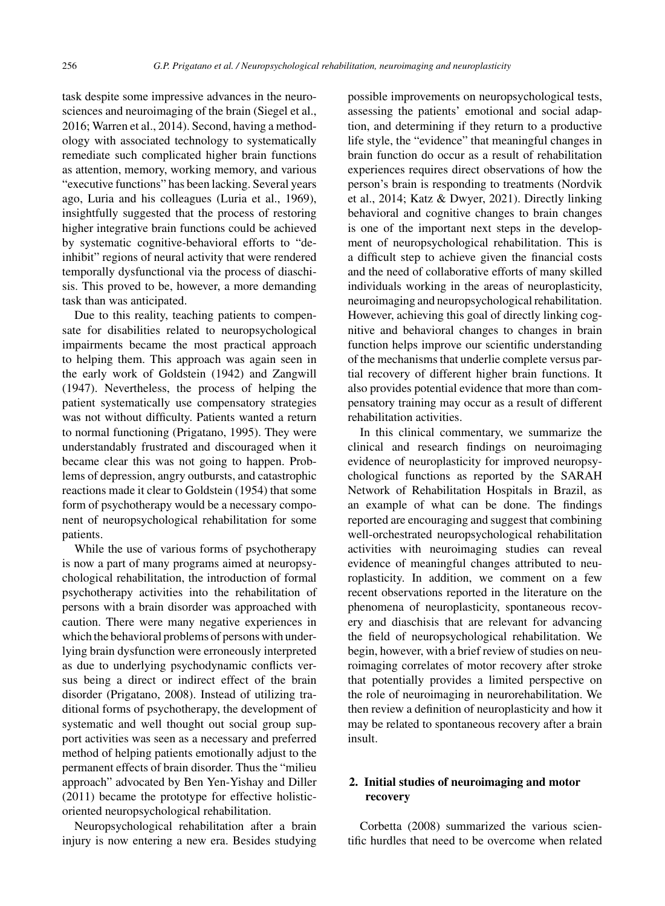task despite some impressive advances in the neurosciences and neuroimaging of the brain (Siegel et al., 2016; Warren et al., 2014). Second, having a methodology with associated technology to systematically remediate such complicated higher brain functions as attention, memory, working memory, and various "executive functions" has been lacking. Several years ago, Luria and his colleagues (Luria et al., 1969), insightfully suggested that the process of restoring higher integrative brain functions could be achieved by systematic cognitive-behavioral efforts to "deinhibit" regions of neural activity that were rendered temporally dysfunctional via the process of diaschisis. This proved to be, however, a more demanding task than was anticipated.

Due to this reality, teaching patients to compensate for disabilities related to neuropsychological impairments became the most practical approach to helping them. This approach was again seen in the early work of Goldstein (1942) and Zangwill (1947). Nevertheless, the process of helping the patient systematically use compensatory strategies was not without difficulty. Patients wanted a return to normal functioning (Prigatano, 1995). They were understandably frustrated and discouraged when it became clear this was not going to happen. Problems of depression, angry outbursts, and catastrophic reactions made it clear to Goldstein (1954) that some form of psychotherapy would be a necessary component of neuropsychological rehabilitation for some patients.

While the use of various forms of psychotherapy is now a part of many programs aimed at neuropsychological rehabilitation, the introduction of formal psychotherapy activities into the rehabilitation of persons with a brain disorder was approached with caution. There were many negative experiences in which the behavioral problems of persons with underlying brain dysfunction were erroneously interpreted as due to underlying psychodynamic conflicts versus being a direct or indirect effect of the brain disorder (Prigatano, 2008). Instead of utilizing traditional forms of psychotherapy, the development of systematic and well thought out social group support activities was seen as a necessary and preferred method of helping patients emotionally adjust to the permanent effects of brain disorder. Thus the "milieu approach" advocated by Ben Yen-Yishay and Diller (2011) became the prototype for effective holisticoriented neuropsychological rehabilitation.

Neuropsychological rehabilitation after a brain injury is now entering a new era. Besides studying possible improvements on neuropsychological tests, assessing the patients' emotional and social adaption, and determining if they return to a productive life style, the "evidence" that meaningful changes in brain function do occur as a result of rehabilitation experiences requires direct observations of how the person's brain is responding to treatments (Nordvik et al., 2014; Katz & Dwyer, 2021). Directly linking behavioral and cognitive changes to brain changes is one of the important next steps in the development of neuropsychological rehabilitation. This is a difficult step to achieve given the financial costs and the need of collaborative efforts of many skilled individuals working in the areas of neuroplasticity, neuroimaging and neuropsychological rehabilitation. However, achieving this goal of directly linking cognitive and behavioral changes to changes in brain function helps improve our scientific understanding of the mechanisms that underlie complete versus partial recovery of different higher brain functions. It also provides potential evidence that more than compensatory training may occur as a result of different rehabilitation activities.

In this clinical commentary, we summarize the clinical and research findings on neuroimaging evidence of neuroplasticity for improved neuropsychological functions as reported by the SARAH Network of Rehabilitation Hospitals in Brazil, as an example of what can be done. The findings reported are encouraging and suggest that combining well-orchestrated neuropsychological rehabilitation activities with neuroimaging studies can reveal evidence of meaningful changes attributed to neuroplasticity. In addition, we comment on a few recent observations reported in the literature on the phenomena of neuroplasticity, spontaneous recovery and diaschisis that are relevant for advancing the field of neuropsychological rehabilitation. We begin, however, with a brief review of studies on neuroimaging correlates of motor recovery after stroke that potentially provides a limited perspective on the role of neuroimaging in neurorehabilitation. We then review a definition of neuroplasticity and how it may be related to spontaneous recovery after a brain insult.

# **2. Initial studies of neuroimaging and motor recovery**

Corbetta (2008) summarized the various scientific hurdles that need to be overcome when related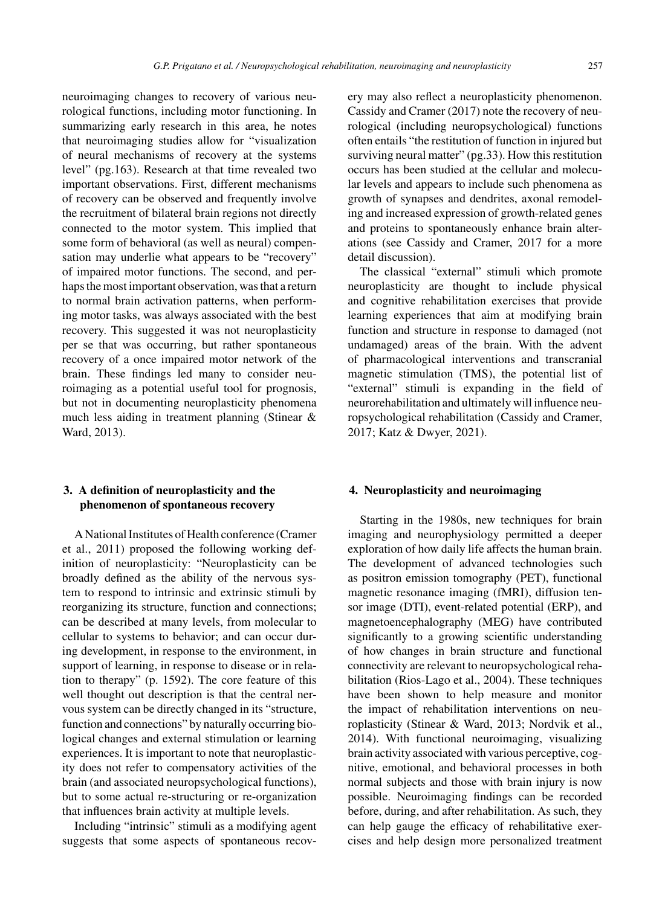neuroimaging changes to recovery of various neurological functions, including motor functioning. In summarizing early research in this area, he notes that neuroimaging studies allow for "visualization of neural mechanisms of recovery at the systems level" (pg.163). Research at that time revealed two important observations. First, different mechanisms of recovery can be observed and frequently involve the recruitment of bilateral brain regions not directly connected to the motor system. This implied that some form of behavioral (as well as neural) compensation may underlie what appears to be "recovery" of impaired motor functions. The second, and perhaps the most important observation, was that a return to normal brain activation patterns, when performing motor tasks, was always associated with the best recovery. This suggested it was not neuroplasticity per se that was occurring, but rather spontaneous recovery of a once impaired motor network of the brain. These findings led many to consider neuroimaging as a potential useful tool for prognosis, but not in documenting neuroplasticity phenomena much less aiding in treatment planning (Stinear & Ward, 2013).

# **3. A definition of neuroplasticity and the phenomenon of spontaneous recovery**

A National Institutes of Health conference (Cramer et al., 2011) proposed the following working definition of neuroplasticity: "Neuroplasticity can be broadly defined as the ability of the nervous system to respond to intrinsic and extrinsic stimuli by reorganizing its structure, function and connections; can be described at many levels, from molecular to cellular to systems to behavior; and can occur during development, in response to the environment, in support of learning, in response to disease or in relation to therapy" (p. 1592). The core feature of this well thought out description is that the central nervous system can be directly changed in its "structure, function and connections" by naturally occurring biological changes and external stimulation or learning experiences. It is important to note that neuroplasticity does not refer to compensatory activities of the brain (and associated neuropsychological functions), but to some actual re-structuring or re-organization that influences brain activity at multiple levels.

Including "intrinsic" stimuli as a modifying agent suggests that some aspects of spontaneous recovery may also reflect a neuroplasticity phenomenon. Cassidy and Cramer (2017) note the recovery of neurological (including neuropsychological) functions often entails "the restitution of function in injured but surviving neural matter" (pg.33). How this restitution occurs has been studied at the cellular and molecular levels and appears to include such phenomena as growth of synapses and dendrites, axonal remodeling and increased expression of growth-related genes and proteins to spontaneously enhance brain alterations (see Cassidy and Cramer, 2017 for a more detail discussion).

The classical "external" stimuli which promote neuroplasticity are thought to include physical and cognitive rehabilitation exercises that provide learning experiences that aim at modifying brain function and structure in response to damaged (not undamaged) areas of the brain. With the advent of pharmacological interventions and transcranial magnetic stimulation (TMS), the potential list of "external" stimuli is expanding in the field of neurorehabilitation and ultimately will influence neuropsychological rehabilitation (Cassidy and Cramer, 2017; Katz & Dwyer, 2021).

## **4. Neuroplasticity and neuroimaging**

Starting in the 1980s, new techniques for brain imaging and neurophysiology permitted a deeper exploration of how daily life affects the human brain. The development of advanced technologies such as positron emission tomography (PET), functional magnetic resonance imaging (fMRI), diffusion tensor image (DTI), event-related potential (ERP), and magnetoencephalography (MEG) have contributed significantly to a growing scientific understanding of how changes in brain structure and functional connectivity are relevant to neuropsychological rehabilitation (Rios-Lago et al., 2004). These techniques have been shown to help measure and monitor the impact of rehabilitation interventions on neuroplasticity (Stinear & Ward, 2013; Nordvik et al., 2014). With functional neuroimaging, visualizing brain activity associated with various perceptive, cognitive, emotional, and behavioral processes in both normal subjects and those with brain injury is now possible. Neuroimaging findings can be recorded before, during, and after rehabilitation. As such, they can help gauge the efficacy of rehabilitative exercises and help design more personalized treatment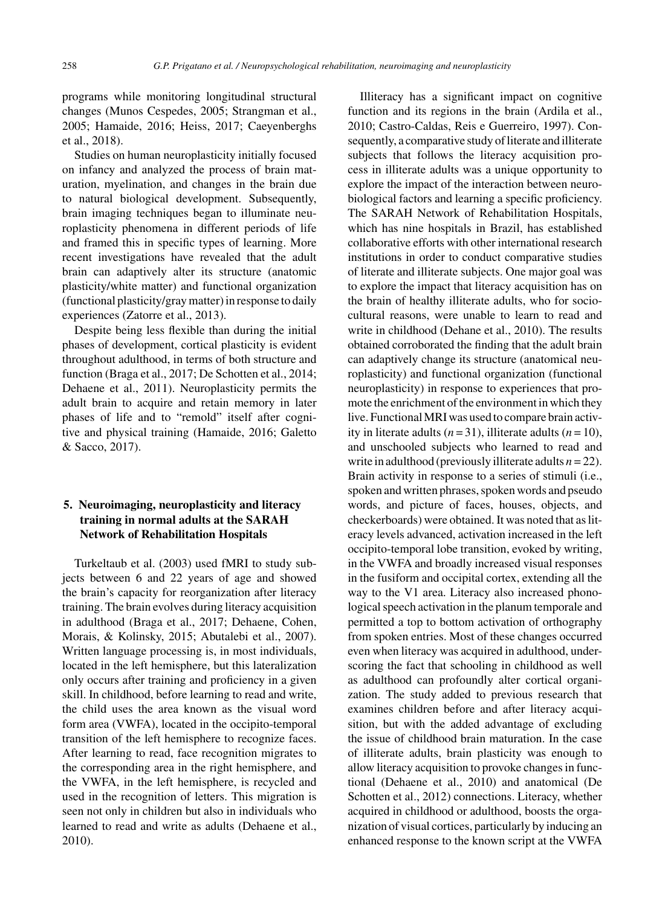programs while monitoring longitudinal structural changes (Munos Cespedes, 2005; Strangman et al., 2005; Hamaide, 2016; Heiss, 2017; Caeyenberghs et al., 2018).

Studies on human neuroplasticity initially focused on infancy and analyzed the process of brain maturation, myelination, and changes in the brain due to natural biological development. Subsequently, brain imaging techniques began to illuminate neuroplasticity phenomena in different periods of life and framed this in specific types of learning. More recent investigations have revealed that the adult brain can adaptively alter its structure (anatomic plasticity/white matter) and functional organization (functional plasticity/gray matter) in response to daily experiences (Zatorre et al., 2013).

Despite being less flexible than during the initial phases of development, cortical plasticity is evident throughout adulthood, in terms of both structure and function (Braga et al., 2017; De Schotten et al., 2014; Dehaene et al., 2011). Neuroplasticity permits the adult brain to acquire and retain memory in later phases of life and to "remold" itself after cognitive and physical training (Hamaide, 2016; Galetto & Sacco, 2017).

# **5. Neuroimaging, neuroplasticity and literacy training in normal adults at the SARAH Network of Rehabilitation Hospitals**

Turkeltaub et al. (2003) used fMRI to study subjects between 6 and 22 years of age and showed the brain's capacity for reorganization after literacy training. The brain evolves during literacy acquisition in adulthood (Braga et al., 2017; Dehaene, Cohen, Morais, & Kolinsky, 2015; Abutalebi et al., 2007). Written language processing is, in most individuals, located in the left hemisphere, but this lateralization only occurs after training and proficiency in a given skill. In childhood, before learning to read and write, the child uses the area known as the visual word form area (VWFA), located in the occipito-temporal transition of the left hemisphere to recognize faces. After learning to read, face recognition migrates to the corresponding area in the right hemisphere, and the VWFA, in the left hemisphere, is recycled and used in the recognition of letters. This migration is seen not only in children but also in individuals who learned to read and write as adults (Dehaene et al., 2010).

Illiteracy has a significant impact on cognitive function and its regions in the brain (Ardila et al., 2010; Castro-Caldas, Reis e Guerreiro, 1997). Consequently, a comparative study of literate and illiterate subjects that follows the literacy acquisition process in illiterate adults was a unique opportunity to explore the impact of the interaction between neurobiological factors and learning a specific proficiency. The SARAH Network of Rehabilitation Hospitals, which has nine hospitals in Brazil, has established collaborative efforts with other international research institutions in order to conduct comparative studies of literate and illiterate subjects. One major goal was to explore the impact that literacy acquisition has on the brain of healthy illiterate adults, who for sociocultural reasons, were unable to learn to read and write in childhood (Dehane et al., 2010). The results obtained corroborated the finding that the adult brain can adaptively change its structure (anatomical neuroplasticity) and functional organization (functional neuroplasticity) in response to experiences that promote the enrichment of the environment in which they live. Functional MRI was used to compare brain activity in literate adults  $(n=31)$ , illiterate adults  $(n=10)$ , and unschooled subjects who learned to read and write in adulthood (previously illiterate adults *n* = 22). Brain activity in response to a series of stimuli (i.e., spoken and written phrases, spoken words and pseudo words, and picture of faces, houses, objects, and checkerboards) were obtained. It was noted that as literacy levels advanced, activation increased in the left occipito-temporal lobe transition, evoked by writing, in the VWFA and broadly increased visual responses in the fusiform and occipital cortex, extending all the way to the V1 area. Literacy also increased phonological speech activation in the planum temporale and permitted a top to bottom activation of orthography from spoken entries. Most of these changes occurred even when literacy was acquired in adulthood, underscoring the fact that schooling in childhood as well as adulthood can profoundly alter cortical organization. The study added to previous research that examines children before and after literacy acquisition, but with the added advantage of excluding the issue of childhood brain maturation. In the case of illiterate adults, brain plasticity was enough to allow literacy acquisition to provoke changes in functional (Dehaene et al., 2010) and anatomical (De Schotten et al., 2012) connections. Literacy, whether acquired in childhood or adulthood, boosts the organization of visual cortices, particularly by inducing an enhanced response to the known script at the VWFA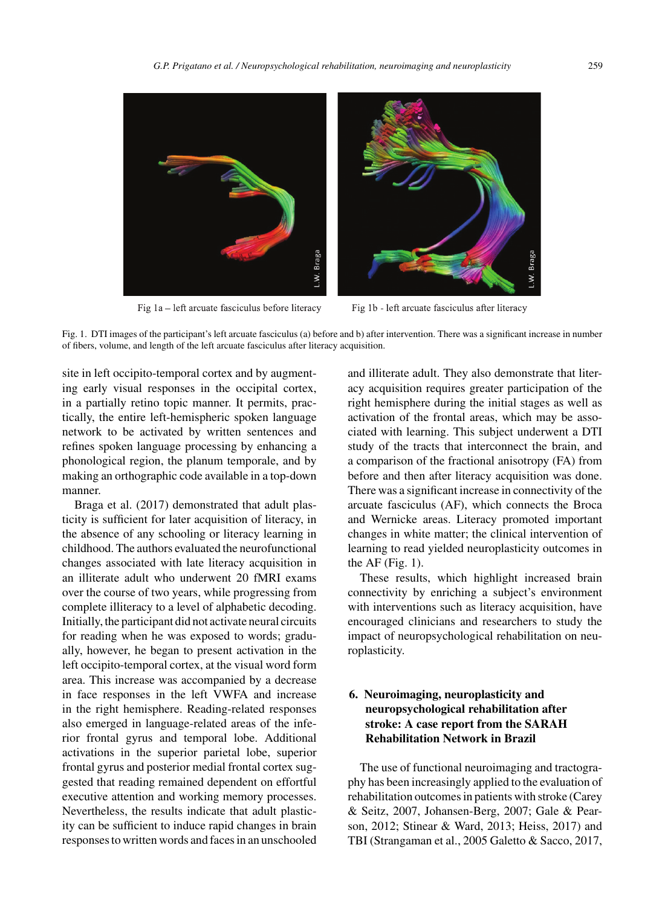

Fig 1a – left arcuate fasciculus before literacy

Fig 1b - left arcuate fasciculus after literacy

Fig. 1. DTI images of the participant's left arcuate fasciculus (a) before and b) after intervention. There was a significant increase in number of fibers, volume, and length of the left arcuate fasciculus after literacy acquisition.

site in left occipito-temporal cortex and by augmenting early visual responses in the occipital cortex, in a partially retino topic manner. It permits, practically, the entire left-hemispheric spoken language network to be activated by written sentences and refines spoken language processing by enhancing a phonological region, the planum temporale, and by making an orthographic code available in a top-down manner.

Braga et al. (2017) demonstrated that adult plasticity is sufficient for later acquisition of literacy, in the absence of any schooling or literacy learning in childhood. The authors evaluated the neurofunctional changes associated with late literacy acquisition in an illiterate adult who underwent 20 fMRI exams over the course of two years, while progressing from complete illiteracy to a level of alphabetic decoding. Initially, the participant did not activate neural circuits for reading when he was exposed to words; gradually, however, he began to present activation in the left occipito-temporal cortex, at the visual word form area. This increase was accompanied by a decrease in face responses in the left VWFA and increase in the right hemisphere. Reading-related responses also emerged in language-related areas of the inferior frontal gyrus and temporal lobe. Additional activations in the superior parietal lobe, superior frontal gyrus and posterior medial frontal cortex suggested that reading remained dependent on effortful executive attention and working memory processes. Nevertheless, the results indicate that adult plasticity can be sufficient to induce rapid changes in brain responses to written words and faces in an unschooled and illiterate adult. They also demonstrate that literacy acquisition requires greater participation of the right hemisphere during the initial stages as well as activation of the frontal areas, which may be associated with learning. This subject underwent a DTI study of the tracts that interconnect the brain, and a comparison of the fractional anisotropy (FA) from before and then after literacy acquisition was done. There was a significant increase in connectivity of the arcuate fasciculus (AF), which connects the Broca and Wernicke areas. Literacy promoted important changes in white matter; the clinical intervention of learning to read yielded neuroplasticity outcomes in the  $AF$  (Fig. 1).

These results, which highlight increased brain connectivity by enriching a subject's environment with interventions such as literacy acquisition, have encouraged clinicians and researchers to study the impact of neuropsychological rehabilitation on neuroplasticity.

# **6. Neuroimaging, neuroplasticity and neuropsychological rehabilitation after stroke: A case report from the SARAH Rehabilitation Network in Brazil**

The use of functional neuroimaging and tractography has been increasingly applied to the evaluation of rehabilitation outcomes in patients with stroke (Carey & Seitz, 2007, Johansen-Berg, 2007; Gale & Pearson, 2012; Stinear & Ward, 2013; Heiss, 2017) and TBI (Strangaman et al., 2005 Galetto & Sacco, 2017,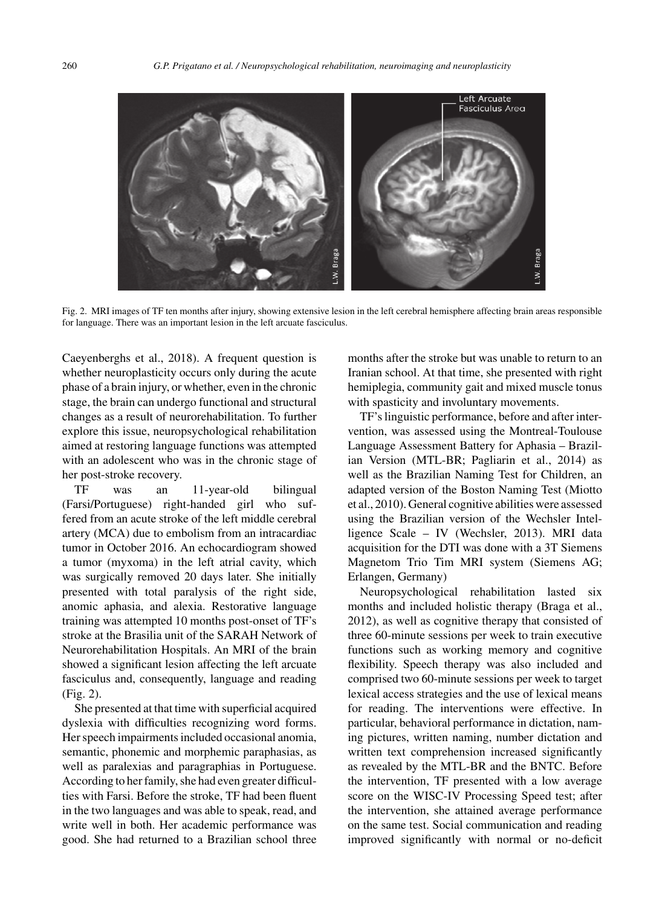

Fig. 2. MRI images of TF ten months after injury, showing extensive lesion in the left cerebral hemisphere affecting brain areas responsible for language. There was an important lesion in the left arcuate fasciculus.

Caeyenberghs et al., 2018). A frequent question is whether neuroplasticity occurs only during the acute phase of a brain injury, or whether, even in the chronic stage, the brain can undergo functional and structural changes as a result of neurorehabilitation. To further explore this issue, neuropsychological rehabilitation aimed at restoring language functions was attempted with an adolescent who was in the chronic stage of her post-stroke recovery.

TF was an 11-year-old bilingual (Farsi/Portuguese) right-handed girl who suffered from an acute stroke of the left middle cerebral artery (MCA) due to embolism from an intracardiac tumor in October 2016. An echocardiogram showed a tumor (myxoma) in the left atrial cavity, which was surgically removed 20 days later. She initially presented with total paralysis of the right side, anomic aphasia, and alexia. Restorative language training was attempted 10 months post-onset of TF's stroke at the Brasilia unit of the SARAH Network of Neurorehabilitation Hospitals. An MRI of the brain showed a significant lesion affecting the left arcuate fasciculus and, consequently, language and reading (Fig. 2).

She presented at that time with superficial acquired dyslexia with difficulties recognizing word forms. Her speech impairments included occasional anomia, semantic, phonemic and morphemic paraphasias, as well as paralexias and paragraphias in Portuguese. According to her family, she had even greater difficulties with Farsi. Before the stroke, TF had been fluent in the two languages and was able to speak, read, and write well in both. Her academic performance was good. She had returned to a Brazilian school three

months after the stroke but was unable to return to an Iranian school. At that time, she presented with right hemiplegia, community gait and mixed muscle tonus with spasticity and involuntary movements.

TF's linguistic performance, before and after intervention, was assessed using the Montreal-Toulouse Language Assessment Battery for Aphasia – Brazilian Version (MTL-BR; Pagliarin et al., 2014) as well as the Brazilian Naming Test for Children, an adapted version of the Boston Naming Test (Miotto et al., 2010). General cognitive abilities were assessed using the Brazilian version of the Wechsler Intelligence Scale – IV (Wechsler, 2013). MRI data acquisition for the DTI was done with a 3T Siemens Magnetom Trio Tim MRI system (Siemens AG; Erlangen, Germany)

Neuropsychological rehabilitation lasted six months and included holistic therapy (Braga et al., 2012), as well as cognitive therapy that consisted of three 60-minute sessions per week to train executive functions such as working memory and cognitive flexibility. Speech therapy was also included and comprised two 60-minute sessions per week to target lexical access strategies and the use of lexical means for reading. The interventions were effective. In particular, behavioral performance in dictation, naming pictures, written naming, number dictation and written text comprehension increased significantly as revealed by the MTL-BR and the BNTC. Before the intervention, TF presented with a low average score on the WISC-IV Processing Speed test; after the intervention, she attained average performance on the same test. Social communication and reading improved significantly with normal or no-deficit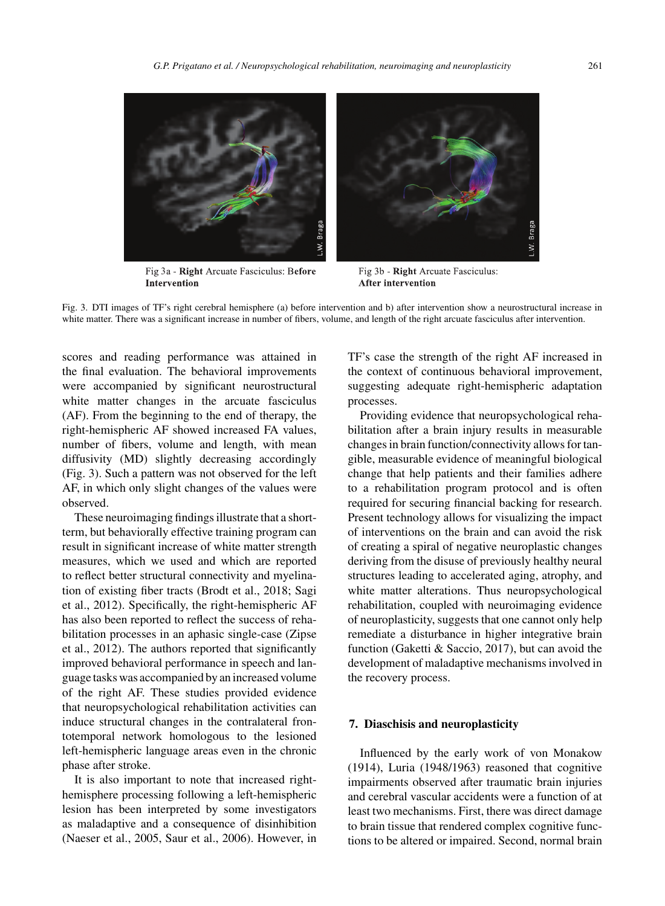

Fig 3a - Right Arcuate Fasciculus: Before **Intervention** 

Fig 3b - Right Arcuate Fasciculus: **After intervention** 

Fig. 3. DTI images of TF's right cerebral hemisphere (a) before intervention and b) after intervention show a neurostructural increase in white matter. There was a significant increase in number of fibers, volume, and length of the right arcuate fasciculus after intervention.

scores and reading performance was attained in the final evaluation. The behavioral improvements were accompanied by significant neurostructural white matter changes in the arcuate fasciculus (AF). From the beginning to the end of therapy, the right-hemispheric AF showed increased FA values, number of fibers, volume and length, with mean diffusivity (MD) slightly decreasing accordingly (Fig. 3). Such a pattern was not observed for the left AF, in which only slight changes of the values were observed.

These neuroimaging findings illustrate that a shortterm, but behaviorally effective training program can result in significant increase of white matter strength measures, which we used and which are reported to reflect better structural connectivity and myelination of existing fiber tracts (Brodt et al., 2018; Sagi et al., 2012). Specifically, the right-hemispheric AF has also been reported to reflect the success of rehabilitation processes in an aphasic single-case (Zipse et al., 2012). The authors reported that significantly improved behavioral performance in speech and language tasks was accompanied by an increased volume of the right AF. These studies provided evidence that neuropsychological rehabilitation activities can induce structural changes in the contralateral frontotemporal network homologous to the lesioned left-hemispheric language areas even in the chronic phase after stroke.

It is also important to note that increased righthemisphere processing following a left-hemispheric lesion has been interpreted by some investigators as maladaptive and a consequence of disinhibition (Naeser et al., 2005, Saur et al., 2006). However, in TF's case the strength of the right AF increased in the context of continuous behavioral improvement, suggesting adequate right-hemispheric adaptation processes.

Providing evidence that neuropsychological rehabilitation after a brain injury results in measurable changes in brain function/connectivity allows for tangible, measurable evidence of meaningful biological change that help patients and their families adhere to a rehabilitation program protocol and is often required for securing financial backing for research. Present technology allows for visualizing the impact of interventions on the brain and can avoid the risk of creating a spiral of negative neuroplastic changes deriving from the disuse of previously healthy neural structures leading to accelerated aging, atrophy, and white matter alterations. Thus neuropsychological rehabilitation, coupled with neuroimaging evidence of neuroplasticity, suggests that one cannot only help remediate a disturbance in higher integrative brain function (Gaketti & Saccio, 2017), but can avoid the development of maladaptive mechanisms involved in the recovery process.

#### **7. Diaschisis and neuroplasticity**

Influenced by the early work of von Monakow (1914), Luria (1948/1963) reasoned that cognitive impairments observed after traumatic brain injuries and cerebral vascular accidents were a function of at least two mechanisms. First, there was direct damage to brain tissue that rendered complex cognitive functions to be altered or impaired. Second, normal brain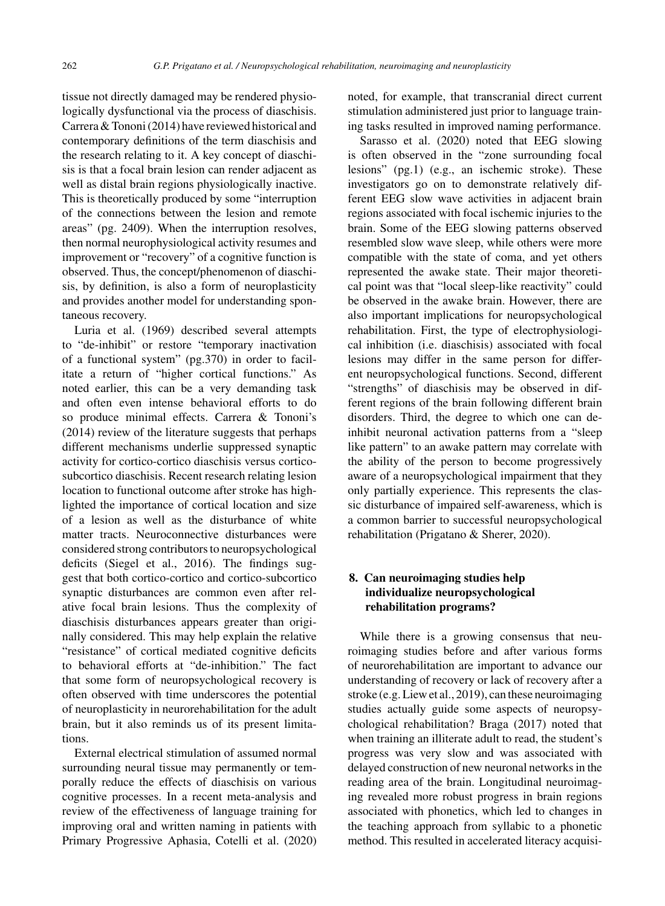tissue not directly damaged may be rendered physiologically dysfunctional via the process of diaschisis. Carrera & Tononi (2014) have reviewed historical and contemporary definitions of the term diaschisis and the research relating to it. A key concept of diaschisis is that a focal brain lesion can render adjacent as well as distal brain regions physiologically inactive. This is theoretically produced by some "interruption of the connections between the lesion and remote areas" (pg. 2409). When the interruption resolves, then normal neurophysiological activity resumes and improvement or "recovery" of a cognitive function is observed. Thus, the concept/phenomenon of diaschisis, by definition, is also a form of neuroplasticity and provides another model for understanding spontaneous recovery.

Luria et al. (1969) described several attempts to "de-inhibit" or restore "temporary inactivation of a functional system" (pg.370) in order to facilitate a return of "higher cortical functions." As noted earlier, this can be a very demanding task and often even intense behavioral efforts to do so produce minimal effects. Carrera & Tononi's (2014) review of the literature suggests that perhaps different mechanisms underlie suppressed synaptic activity for cortico-cortico diaschisis versus corticosubcortico diaschisis. Recent research relating lesion location to functional outcome after stroke has highlighted the importance of cortical location and size of a lesion as well as the disturbance of white matter tracts. Neuroconnective disturbances were considered strong contributors to neuropsychological deficits (Siegel et al., 2016). The findings suggest that both cortico-cortico and cortico-subcortico synaptic disturbances are common even after relative focal brain lesions. Thus the complexity of diaschisis disturbances appears greater than originally considered. This may help explain the relative "resistance" of cortical mediated cognitive deficits to behavioral efforts at "de-inhibition." The fact that some form of neuropsychological recovery is often observed with time underscores the potential of neuroplasticity in neurorehabilitation for the adult brain, but it also reminds us of its present limitations.

External electrical stimulation of assumed normal surrounding neural tissue may permanently or temporally reduce the effects of diaschisis on various cognitive processes. In a recent meta-analysis and review of the effectiveness of language training for improving oral and written naming in patients with Primary Progressive Aphasia, Cotelli et al. (2020) noted, for example, that transcranial direct current stimulation administered just prior to language training tasks resulted in improved naming performance.

Sarasso et al. (2020) noted that EEG slowing is often observed in the "zone surrounding focal lesions" (pg.1) (e.g., an ischemic stroke). These investigators go on to demonstrate relatively different EEG slow wave activities in adjacent brain regions associated with focal ischemic injuries to the brain. Some of the EEG slowing patterns observed resembled slow wave sleep, while others were more compatible with the state of coma, and yet others represented the awake state. Their major theoretical point was that "local sleep-like reactivity" could be observed in the awake brain. However, there are also important implications for neuropsychological rehabilitation. First, the type of electrophysiological inhibition (i.e. diaschisis) associated with focal lesions may differ in the same person for different neuropsychological functions. Second, different "strengths" of diaschisis may be observed in different regions of the brain following different brain disorders. Third, the degree to which one can deinhibit neuronal activation patterns from a "sleep like pattern" to an awake pattern may correlate with the ability of the person to become progressively aware of a neuropsychological impairment that they only partially experience. This represents the classic disturbance of impaired self-awareness, which is a common barrier to successful neuropsychological rehabilitation (Prigatano & Sherer, 2020).

## **8. Can neuroimaging studies help individualize neuropsychological rehabilitation programs?**

While there is a growing consensus that neuroimaging studies before and after various forms of neurorehabilitation are important to advance our understanding of recovery or lack of recovery after a stroke (e.g. Liew et al., 2019), can these neuroimaging studies actually guide some aspects of neuropsychological rehabilitation? Braga (2017) noted that when training an illiterate adult to read, the student's progress was very slow and was associated with delayed construction of new neuronal networks in the reading area of the brain. Longitudinal neuroimaging revealed more robust progress in brain regions associated with phonetics, which led to changes in the teaching approach from syllabic to a phonetic method. This resulted in accelerated literacy acquisi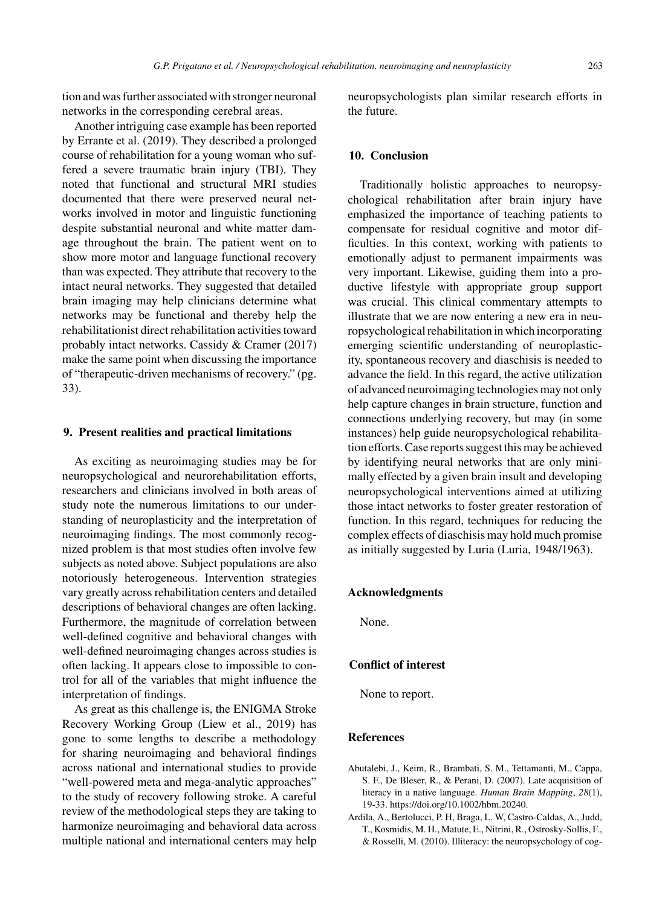tion and was further associated with stronger neuronal networks in the corresponding cerebral areas.

Another intriguing case example has been reported by Errante et al. (2019). They described a prolonged course of rehabilitation for a young woman who suffered a severe traumatic brain injury (TBI). They noted that functional and structural MRI studies documented that there were preserved neural networks involved in motor and linguistic functioning despite substantial neuronal and white matter damage throughout the brain. The patient went on to show more motor and language functional recovery than was expected. They attribute that recovery to the intact neural networks. They suggested that detailed brain imaging may help clinicians determine what networks may be functional and thereby help the rehabilitationist direct rehabilitation activities toward probably intact networks. Cassidy & Cramer (2017) make the same point when discussing the importance of "therapeutic-driven mechanisms of recovery." (pg. 33).

#### **9. Present realities and practical limitations**

As exciting as neuroimaging studies may be for neuropsychological and neurorehabilitation efforts, researchers and clinicians involved in both areas of study note the numerous limitations to our understanding of neuroplasticity and the interpretation of neuroimaging findings. The most commonly recognized problem is that most studies often involve few subjects as noted above. Subject populations are also notoriously heterogeneous. Intervention strategies vary greatly across rehabilitation centers and detailed descriptions of behavioral changes are often lacking. Furthermore, the magnitude of correlation between well-defined cognitive and behavioral changes with well-defined neuroimaging changes across studies is often lacking. It appears close to impossible to control for all of the variables that might influence the interpretation of findings.

As great as this challenge is, the ENIGMA Stroke Recovery Working Group (Liew et al., 2019) has gone to some lengths to describe a methodology for sharing neuroimaging and behavioral findings across national and international studies to provide "well-powered meta and mega-analytic approaches" to the study of recovery following stroke. A careful review of the methodological steps they are taking to harmonize neuroimaging and behavioral data across multiple national and international centers may help

neuropsychologists plan similar research efforts in the future.

## **10. Conclusion**

Traditionally holistic approaches to neuropsychological rehabilitation after brain injury have emphasized the importance of teaching patients to compensate for residual cognitive and motor difficulties. In this context, working with patients to emotionally adjust to permanent impairments was very important. Likewise, guiding them into a productive lifestyle with appropriate group support was crucial. This clinical commentary attempts to illustrate that we are now entering a new era in neuropsychological rehabilitation in which incorporating emerging scientific understanding of neuroplasticity, spontaneous recovery and diaschisis is needed to advance the field. In this regard, the active utilization of advanced neuroimaging technologies may not only help capture changes in brain structure, function and connections underlying recovery, but may (in some instances) help guide neuropsychological rehabilitation efforts. Case reports suggest this may be achieved by identifying neural networks that are only minimally effected by a given brain insult and developing neuropsychological interventions aimed at utilizing those intact networks to foster greater restoration of function. In this regard, techniques for reducing the complex effects of diaschisis may hold much promise as initially suggested by Luria (Luria, 1948/1963).

#### **Acknowledgments**

None.

### **Conflict of interest**

None to report.

## **References**

- Abutalebi, J., Keim, R., Brambati, S. M., Tettamanti, M., Cappa, S. F., De Bleser, R., & Perani, D. (2007). Late acquisition of literacy in a native language. *Human Brain Mapping*, *28*(1), 19-33. [https://doi.org/10.1002/hbm.20240.](https://doi.org/10.1002/hbm.20240)
- Ardila, A., Bertolucci, P. H, Braga, L. W, Castro-Caldas, A., Judd, T., Kosmidis, M. H., Matute, E., Nitrini, R., Ostrosky-Sollis, F., & Rosselli, M. (2010). Illiteracy: the neuropsychology of cog-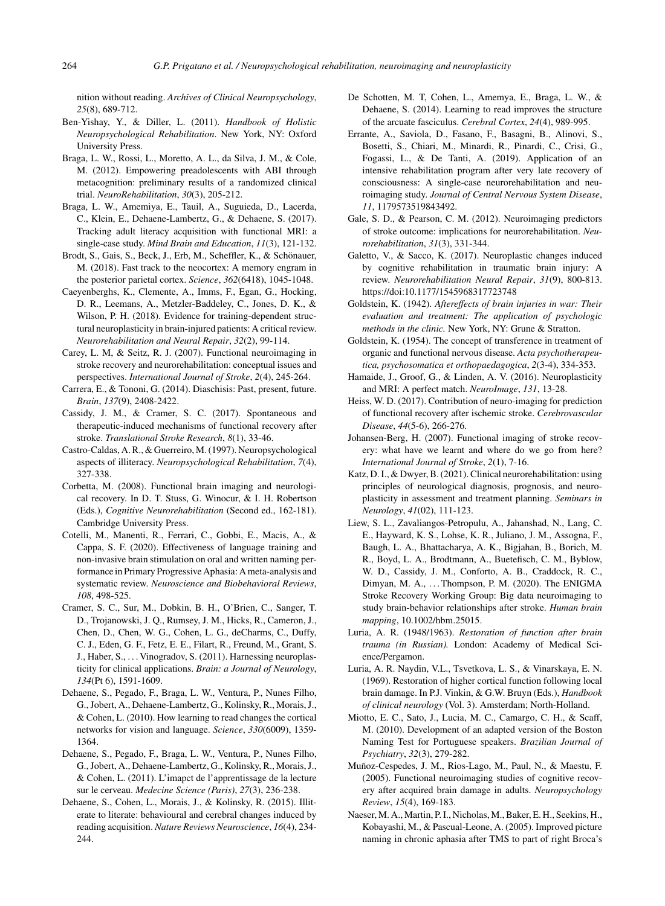nition without reading. *Archives of Clinical Neuropsychology*, *25*(8), 689-712.

- Ben-Yishay, Y., & Diller, L. (2011). *Handbook of Holistic Neuropsychological Rehabilitation*. New York, NY: Oxford University Press.
- Braga, L. W., Rossi, L., Moretto, A. L., da Silva, J. M., & Cole, M. (2012). Empowering preadolescents with ABI through metacognition: preliminary results of a randomized clinical trial. *NeuroRehabilitation*, *30*(3), 205-212.
- Braga, L. W., Amemiya, E., Tauil, A., Suguieda, D., Lacerda, C., Klein, E., Dehaene-Lambertz, G., & Dehaene, S. (2017). Tracking adult literacy acquisition with functional MRI: a single-case study. *Mind Brain and Education*, *11*(3), 121-132.
- Brodt, S., Gais, S., Beck, J., Erb, M., Scheffler, K., & Schönauer, M. (2018). Fast track to the neocortex: A memory engram in the posterior parietal cortex. *Science*, *362*(6418), 1045-1048.
- Caeyenberghs, K., Clemente, A., Imms, F., Egan, G., Hocking, D. R., Leemans, A., Metzler-Baddeley, C., Jones, D. K., & Wilson, P. H. (2018). Evidence for training-dependent structural neuroplasticity in brain-injured patients: A critical review. *Neurorehabilitation and Neural Repair*, *32*(2), 99-114.
- Carey, L. M, & Seitz, R. J. (2007). Functional neuroimaging in stroke recovery and neurorehabilitation: conceptual issues and perspectives. *International Journal of Stroke*, *2*(4), 245-264.
- Carrera, E., & Tononi, G. (2014). Diaschisis: Past, present, future. *Brain*, *137*(9), 2408-2422.
- Cassidy, J. M., & Cramer, S. C. (2017). Spontaneous and therapeutic-induced mechanisms of functional recovery after stroke. *Translational Stroke Research*, *8*(1), 33-46.
- Castro-Caldas, A. R., & Guerreiro, M. (1997). Neuropsychological aspects of illiteracy. *Neuropsychological Rehabilitation*, *7*(4), 327-338.
- Corbetta, M. (2008). Functional brain imaging and neurological recovery. In D. T. Stuss, G. Winocur, & I. H. Robertson (Eds.), *Cognitive Neurorehabilitation* (Second ed., 162-181). Cambridge University Press.
- Cotelli, M., Manenti, R., Ferrari, C., Gobbi, E., Macis, A., & Cappa, S. F. (2020). Effectiveness of language training and non-invasive brain stimulation on oral and written naming performance in Primary Progressive Aphasia: A meta-analysis and systematic review. *Neuroscience and Biobehavioral Reviews*, *108*, 498-525.
- Cramer, S. C., Sur, M., Dobkin, B. H., O'Brien, C., Sanger, T. D., Trojanowski, J. Q., Rumsey, J. M., Hicks, R., Cameron, J., Chen, D., Chen, W. G., Cohen, L. G., deCharms, C., Duffy, C. J., Eden, G. F., Fetz, E. E., Filart, R., Freund, M., Grant, S. J., Haber, S., ...Vinogradov, S. (2011). Harnessing neuroplasticity for clinical applications. *Brain: a Journal of Neurology*, *134*(Pt 6), 1591-1609.
- Dehaene, S., Pegado, F., Braga, L. W., Ventura, P., Nunes Filho, G., Jobert, A., Dehaene-Lambertz, G., Kolinsky, R., Morais, J., & Cohen, L. (2010). How learning to read changes the cortical networks for vision and language. *Science*, *330*(6009), 1359- 1364.
- Dehaene, S., Pegado, F., Braga, L. W., Ventura, P., Nunes Filho, G., Jobert, A., Dehaene-Lambertz, G., Kolinsky, R., Morais, J., & Cohen, L. (2011). L'imapct de l'apprentissage de la lecture sur le cerveau. *Medecine Science (Paris)*, *27*(3), 236-238.
- Dehaene, S., Cohen, L., Morais, J., & Kolinsky, R. (2015). Illiterate to literate: behavioural and cerebral changes induced by reading acquisition. *Nature Reviews Neuroscience*, *16*(4), 234- 244.
- De Schotten, M. T, Cohen, L., Amemya, E., Braga, L. W., & Dehaene, S. (2014). Learning to read improves the structure of the arcuate fasciculus. *Cerebral Cortex*, *24*(4), 989-995.
- Errante, A., Saviola, D., Fasano, F., Basagni, B., Alinovi, S., Bosetti, S., Chiari, M., Minardi, R., Pinardi, C., Crisi, G., Fogassi, L., & De Tanti, A. (2019). Application of an intensive rehabilitation program after very late recovery of consciousness: A single-case neurorehabilitation and neuroimaging study. *Journal of Central Nervous System Disease*, *11*, 1179573519843492.
- Gale, S. D., & Pearson, C. M. (2012). Neuroimaging predictors of stroke outcome: implications for neurorehabilitation. *Neurorehabilitation*, *31*(3), 331-344.
- Galetto, V., & Sacco, K. (2017). Neuroplastic changes induced by cognitive rehabilitation in traumatic brain injury: A review. *Neurorehabilitation Neural Repair*, *31*(9), 800-813. <https://doi:10.1177/1545968317723748>
- Goldstein, K. (1942). *Aftereffects of brain injuries in war: Their evaluation and treatment: The application of psychologic methods in the clinic.* New York, NY: Grune & Stratton.
- Goldstein, K. (1954). The concept of transference in treatment of organic and functional nervous disease. *Acta psychotherapeutica, psychosomatica et orthopaedagogica*, *2*(3-4), 334-353.
- Hamaide, J., Groof, G., & Linden, A. V. (2016). Neuroplasticity and MRI: A perfect match. *NeuroImage*, *131*, 13-28.
- Heiss, W. D. (2017). Contribution of neuro-imaging for prediction of functional recovery after ischemic stroke. *Cerebrovascular Disease*, *44*(5-6), 266-276.
- Johansen-Berg, H. (2007). Functional imaging of stroke recovery: what have we learnt and where do we go from here? *International Journal of Stroke*, *2*(1), 7-16.
- Katz, D. I., & Dwyer, B. (2021). Clinical neurorehabilitation: using principles of neurological diagnosis, prognosis, and neuroplasticity in assessment and treatment planning. *Seminars in Neurology*, *41*(02), 111-123.
- Liew, S. L., Zavaliangos-Petropulu, A., Jahanshad, N., Lang, C. E., Hayward, K. S., Lohse, K. R., Juliano, J. M., Assogna, F., Baugh, L. A., Bhattacharya, A. K., Bigjahan, B., Borich, M. R., Boyd, L. A., Brodtmann, A., Buetefisch, C. M., Byblow, W. D., Cassidy, J. M., Conforto, A. B., Craddock, R. C., Dimyan, M. A., ... Thompson, P. M. (2020). The ENIGMA Stroke Recovery Working Group: Big data neuroimaging to study brain-behavior relationships after stroke. *Human brain mapping*, 10.1002/hbm.25015.
- Luria, A. R. (1948/1963). *Restoration of function after brain trauma (in Russian).* London: Academy of Medical Science/Pergamon.
- Luria, A. R. Naydin, V.L., Tsvetkova, L. S., & Vinarskaya, E. N. (1969). Restoration of higher cortical function following local brain damage. In P.J. Vinkin, & G.W. Bruyn (Eds.), *Handbook of clinical neurology* (Vol. 3). Amsterdam; North-Holland.
- Miotto, E. C., Sato, J., Lucia, M. C., Camargo, C. H., & Scaff, M. (2010). Development of an adapted version of the Boston Naming Test for Portuguese speakers. *Brazilian Journal of Psychiatry*, *32*(3), 279-282.
- Muñoz-Cespedes, J. M., Rios-Lago, M., Paul, N., & Maestu, F. (2005). Functional neuroimaging studies of cognitive recovery after acquired brain damage in adults. *Neuropsychology Review*, *15*(4), 169-183.
- Naeser, M. A., Martin, P. I., Nicholas, M., Baker, E. H., Seekins, H., Kobayashi, M., & Pascual-Leone, A. (2005). Improved picture naming in chronic aphasia after TMS to part of right Broca's